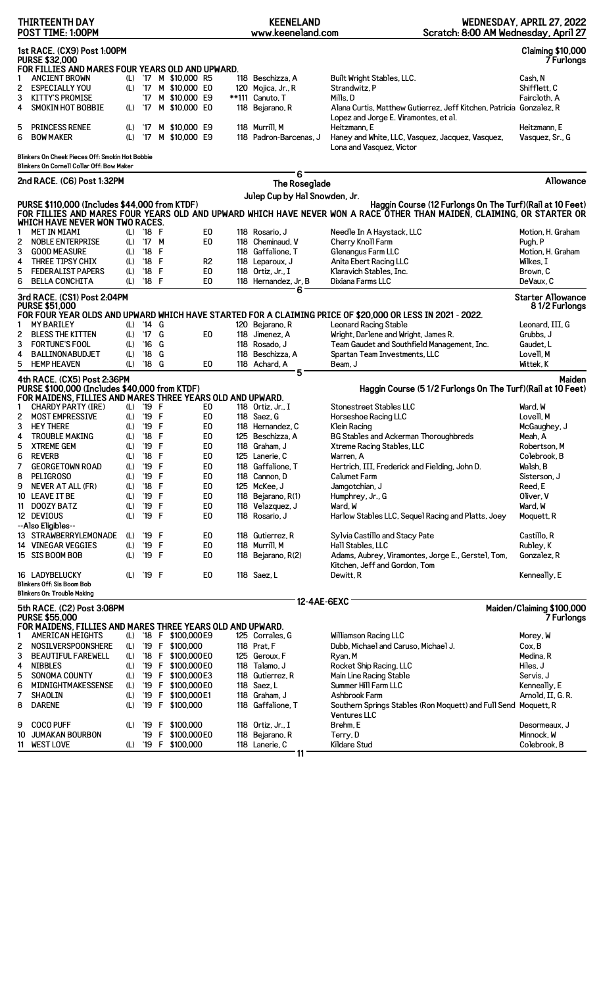|        | <b>THIRTEENTH DAY</b><br>POST TIME: 1:00PM                                                                        |            |                |        |                       |                | <b>KEENELAND</b><br>www.keeneland.com | Scratch: 8:00 AM Wednesday, April 27                                                                                                                                                | WEDNESDAY, APRIL 27, 2022                     |
|--------|-------------------------------------------------------------------------------------------------------------------|------------|----------------|--------|-----------------------|----------------|---------------------------------------|-------------------------------------------------------------------------------------------------------------------------------------------------------------------------------------|-----------------------------------------------|
|        | 1st RACE. (CX9) Post 1:00PM<br><b>PURSE \$32,000</b><br>FOR FILLIES AND MARES FOUR YEARS OLD AND UPWARD.          |            |                |        |                       |                |                                       |                                                                                                                                                                                     | <b>Claiming \$10,000</b><br><b>7 Furlongs</b> |
|        | <b>ANCIENT BROWN</b>                                                                                              |            |                |        | (L) '17 M \$10,000 R5 |                | 118 Beschizza, A                      | Built Wright Stables, LLC.                                                                                                                                                          | Cash, N                                       |
| 2      | <b>ESPECIALLY YOU</b>                                                                                             |            |                |        | (L) '17 M \$10,000 E0 |                | 120 Mojica, Jr., R                    | Strandwitz, P                                                                                                                                                                       | Shifflett, C                                  |
| 3      | <b>KITTY'S PROMISE</b>                                                                                            |            | '17            |        | M \$10,000 E9         |                | **111 Canuto, T                       | Mills. D                                                                                                                                                                            | Fairc1oth, A                                  |
| 4      | <b>SMOKIN HOT BOBBIE</b>                                                                                          | (L)        | '17            |        | M \$10,000 E0         |                | 118 Bejarano, R                       | Alana Curtis, Matthew Gutierrez, Jeff Kitchen, Patricia Gonzalez, R                                                                                                                 |                                               |
| 5      | <b>PRINCESS RENEE</b>                                                                                             | (L)        | '17            |        | M \$10,000 E9         |                | 118 Murrill, M                        | Lopez and Jorge E. Viramontes, et al.<br>Heitzmann. E                                                                                                                               | Heitzmann, E                                  |
| 6      | <b>BOW MAKER</b>                                                                                                  | (L)        | '17            |        | M \$10,000 E9         |                | 118 Padron-Barcenas, J                | Haney and White, LLC, Vasquez, Jacquez, Vasquez,<br>Lona and Vasquez, Victor                                                                                                        | Vasquez, Sr., G                               |
|        | Blinkers On Cheek Pieces Off: Smokin Hot Bobbie<br>Blinkers On Cornell Collar Off: Bow Maker                      |            |                |        |                       |                |                                       |                                                                                                                                                                                     |                                               |
|        | 2nd RACE. (C6) Post 1:32PM                                                                                        |            |                |        |                       |                | 6<br>The Roseglade                    |                                                                                                                                                                                     | Allowance                                     |
|        |                                                                                                                   |            |                |        |                       |                | Julep Cup by Hal Snowden, Jr.         |                                                                                                                                                                                     |                                               |
|        | PURSE \$110,000 (Includes \$44,000 from KTDF)<br>WHICH HAVE NEVER WON TWO RACES.                                  |            |                |        |                       |                |                                       | Haggin Course (12 Furlongs On The Turf) (Rail at 10 Feet)<br>FOR FILLIES AND MARES FOUR YEARS OLD AND UPWARD WHICH HAVE NEVER WON A RACE OTHER THAN MAIDEN, CLAIMING, OR STARTER OR |                                               |
| 1      | <b>MET IN MIAMI</b>                                                                                               |            | (L) '18 F      |        |                       | E <sub>0</sub> | 118 Rosario, J                        | Needle In A Haystack, LLC                                                                                                                                                           | Motion, H. Graham                             |
| 2      | <b>NOBLE ENTERPRISE</b>                                                                                           | (L)        | '17 M          |        |                       | E0             | 118 Cheminaud, V                      | Cherry Knoll Farm                                                                                                                                                                   | Pugh, P                                       |
| 3      | <b>GOOD MEASURE</b>                                                                                               | (L)        | '18            | F      |                       |                | 118 Gaffalione, T                     | Glenangus Farm LLC                                                                                                                                                                  | Motion, H. Graham                             |
| 4      | THREE TIPSY CHIX                                                                                                  | (L)        | '18 F          |        |                       | R <sub>2</sub> | 118 Leparoux, J                       | Anita Ebert Racing LLC                                                                                                                                                              | Wilkes, I                                     |
| 5      | <b>FEDERALIST PAPERS</b>                                                                                          | (L)        | '18            | F      |                       | E <sub>0</sub> | 118 Ortiz, Jr., I                     | Klaravich Stables, Inc.                                                                                                                                                             | Brown. C                                      |
| 6      | <b>BELLA CONCHITA</b>                                                                                             | (L)        | $'18$ F        |        |                       | E0             | 118 Hernandez, Jr, B<br>6             | Dixiana Farms LLC                                                                                                                                                                   | DeVaux, C                                     |
|        | 3rd RACE. (CS1) Post 2:04PM<br><b>PURSE \$51,000</b>                                                              |            |                |        |                       |                |                                       |                                                                                                                                                                                     | <b>Starter Allowance</b><br>81/2 Furlongs     |
|        |                                                                                                                   |            |                |        |                       |                |                                       | FOR FOUR YEAR OLDS AND UPWARD WHICH HAVE STARTED FOR A CLAIMING PRICE OF \$20,000 OR LESS IN 2021 - 2022.                                                                           |                                               |
| 1      | <b>MY BARILEY</b>                                                                                                 | (L)        | '14 G          |        |                       |                | 120 Bejarano, R                       | Leonard Racing Stable                                                                                                                                                               | Leonard, III, G                               |
| 2      | <b>BLESS THE KITTEN</b>                                                                                           | (L)        | '17 G          |        |                       | E0             | 118 Jimenez, A                        | Wright, Darlene and Wright, James R.                                                                                                                                                | Grubbs, J                                     |
| 3      | <b>FORTUNE'S FOOL</b>                                                                                             | (L)        | '16<br>'18     | G<br>G |                       |                | 118 Rosado, J                         | Team Gaudet and Southfield Management, Inc.                                                                                                                                         | Gaudet, L                                     |
| 4<br>5 | <b>BALLINONABUDJET</b><br><b>HEMP HEAVEN</b>                                                                      | (L)<br>(L) | '18 G          |        |                       | E0             | 118 Beschizza, A<br>118 Achard, A     | Spartan Team Investments, LLC<br>Beam, J                                                                                                                                            | Lovell, M<br>Wittek, K                        |
|        |                                                                                                                   |            |                |        |                       |                | 5                                     |                                                                                                                                                                                     |                                               |
|        | 4th RACE. (CX5) Post 2:36PM<br>PURSE \$100,000 (Includes \$40,000 from KTDF)                                      |            |                |        |                       |                |                                       | Haggin Course (5 1/2 Furlongs On The Turf) (Rail at 10 Feet)                                                                                                                        | Maiden                                        |
|        | FOR MAIDENS, FILLIES AND MARES THREE YEARS OLD AND UPWARD.                                                        |            |                |        |                       |                |                                       |                                                                                                                                                                                     |                                               |
| 1      | <b>CHARDY PARTY (IRE)</b>                                                                                         |            | (L) '19 F      |        |                       | E0             | 118 Ortiz, Jr., I                     | Stonestreet Stables LLC                                                                                                                                                             | Ward, W                                       |
| 2<br>3 | <b>MOST EMPRESSIVE</b><br><b>HEY THERE</b>                                                                        | (L)<br>(L) | '19 F<br>'19 F |        |                       | E0<br>E0       | 118 Saez, G<br>118 Hernandez, C       | Horseshoe Racing LLC                                                                                                                                                                | Lovell, M                                     |
| 4      | <b>TROUBLE MAKING</b>                                                                                             | (L)        | '18 F          |        |                       | E0             | 125 Beschizza, A                      | Klein Racing<br><b>BG Stables and Ackerman Thoroughbreds</b>                                                                                                                        | McGaughey, J<br>Meah. A                       |
| 5      | <b>XTREME GEM</b>                                                                                                 |            | (L) '19 F      |        |                       | E <sub>0</sub> | 118 Graham, J                         | Xtreme Racing Stables, LLC                                                                                                                                                          | Robertson, M                                  |
| 6      | <b>REVERB</b>                                                                                                     | (L)        | '18 F          |        |                       | E0             | 125 Lanerie, C                        | Warren, A                                                                                                                                                                           | Colebrook, B                                  |
| 7      | <b>GEORGETOWN ROAD</b>                                                                                            | (L)        | '19 F          |        |                       | E <sub>0</sub> | 118 Gaffalione. T                     | Hertrich, III, Frederick and Fielding, John D.                                                                                                                                      | Walsh, B                                      |
| 8      | <b>PELIGROSO</b>                                                                                                  | (L)        | '19 F          |        |                       | E <sub>0</sub> | 118 Cannon. D                         | Calumet Farm                                                                                                                                                                        | Sisterson, J                                  |
| 9      | <b>NEVER AT ALL (FR)</b>                                                                                          | (L)        | $^{\prime}18$  | F      |                       | E0             | 125 McKee, J                          | Jamgotchian, J                                                                                                                                                                      | Reed, E                                       |
| 10     | LEAVE IT BE                                                                                                       | (L)        | '19 F          |        |                       | E <sub>0</sub> | 118 Bejarano, R(1)                    | Humphrey, Jr., G                                                                                                                                                                    | Oliver, V                                     |
| 11     | DOOZY BATZ                                                                                                        | (L)        | '19            | F      |                       | E <sub>0</sub> | 118 Velazquez, J                      | Ward, W                                                                                                                                                                             | Ward, W                                       |
|        | 12 DEVIOUS                                                                                                        | (L)        | '19 F          |        |                       | E0             | 118 Rosario, J                        | Harlow Stables LLC, Sequel Racing and Platts, Joey                                                                                                                                  | Moquett, R                                    |
|        | --Also Eligibles--                                                                                                |            |                |        |                       |                |                                       |                                                                                                                                                                                     |                                               |
|        | 13 STRAWBERRYLEMONADE                                                                                             | (L)        | '19 F          |        |                       | E0             | 118 Gutierrez, R                      | Sylvia Castillo and Stacy Pate                                                                                                                                                      | Castillo, R                                   |
|        | 14 VINEGAR VEGGIES                                                                                                | (L)        | '19 F          |        |                       | E <sub>0</sub> | 118 Murrill, M                        | Hall Stables, LLC                                                                                                                                                                   | Rubley, K                                     |
|        | 15 SIS BOOM BOB                                                                                                   | (L)        | '19 F          |        |                       | E0             | 118 Bejarano, R(2)                    | Adams, Aubrey, Viramontes, Jorge E., Gerstel, Tom,<br>Kitchen, Jeff and Gordon, Tom                                                                                                 | Gonzalez, R                                   |
|        | 16 LADYBELUCKY                                                                                                    | (L)        | '19 F          |        |                       | E0             | 118 Saez, L                           | Dewitt, R                                                                                                                                                                           | Kenneally, E                                  |
|        | Blinkers Off: Sis Boom Bob<br>Blinkers On: Trouble Making                                                         |            |                |        |                       |                |                                       |                                                                                                                                                                                     |                                               |
|        |                                                                                                                   |            |                |        |                       |                | 12-4AE-6EXC                           |                                                                                                                                                                                     |                                               |
|        | 5th RACE. (C2) Post 3:08PM<br><b>PURSE \$55,000</b><br>FOR MAIDENS, FILLIES AND MARES THREE YEARS OLD AND UPWARD. |            |                |        |                       |                |                                       |                                                                                                                                                                                     | Maiden/Claiming \$100,000<br>7 Furlongs       |
| 1      | <b>AMERICAN HEIGHTS</b>                                                                                           |            |                |        | (L) '18 F \$100,000E9 |                | 125 Corrales, G                       | Williamson Racing LLC                                                                                                                                                               | Morey, W                                      |
| 2      | <b>NOSILVERSPOONSHERE</b>                                                                                         |            |                |        | (L) '19 F \$100,000   |                | 118 Prat, F                           | Dubb, Michael and Caruso, Michael J.                                                                                                                                                | Cox. B                                        |
| 3      | <b>BEAUTIFUL FAREWELL</b>                                                                                         | (L)        |                |        | '18 F \$100,000 E0    |                | 125 Geroux, F                         | Ryan, M                                                                                                                                                                             | Medina, R                                     |
| 4      | <b>NIBBLES</b>                                                                                                    | (L)        |                |        | '19 F \$100,000 E0    |                | 118 Talamo, J                         | Rocket Ship Racing, LLC                                                                                                                                                             | Hiles, J                                      |
| 5      | SONOMA COUNTY                                                                                                     | (L)        |                |        | '19 F \$100,000E3     |                | 118 Gutierrez, R                      | Main Line Racing Stable                                                                                                                                                             | Servis, J                                     |
| 6      | MIDNIGHTMAKESSENSE                                                                                                | (L)        |                |        | '19 F \$100,000 E0    |                | 118 Saez, L                           | Summer Hill Farm LLC                                                                                                                                                                | Kenneally, E                                  |
| 7      | SHAOLIN                                                                                                           | (L)        |                |        | '19 F \$100,000E1     |                | 118 Graham, J                         | Ashbrook Farm                                                                                                                                                                       | Arnold, II, G. R.                             |
| 8      | <b>DARENE</b>                                                                                                     | (L)        |                |        | '19 F \$100,000       |                | 118 Gaffalione, T                     | Southern Springs Stables (Ron Moquett) and Full Send Moquett, R<br><b>Ventures LLC</b>                                                                                              |                                               |
| 9      | <b>COCO PUFF</b>                                                                                                  | (L)        |                |        | '19 F \$100,000       |                | 118 Ortiz, Jr., I                     | Brehm, E                                                                                                                                                                            | Desormeaux, J                                 |
| 10     | <b>JUMAKAN BOURBON</b>                                                                                            |            |                |        | '19 F \$100,000E0     |                | 118 Bejarano, R                       | Terry, D                                                                                                                                                                            | Minnock, W                                    |
|        | 11 WEST LOVE                                                                                                      | (L)        |                |        | '19 F \$100,000       |                | 118 Lanerie, C                        | Kildare Stud                                                                                                                                                                        | Colebrook, B                                  |
|        |                                                                                                                   |            |                |        |                       |                | 11                                    |                                                                                                                                                                                     |                                               |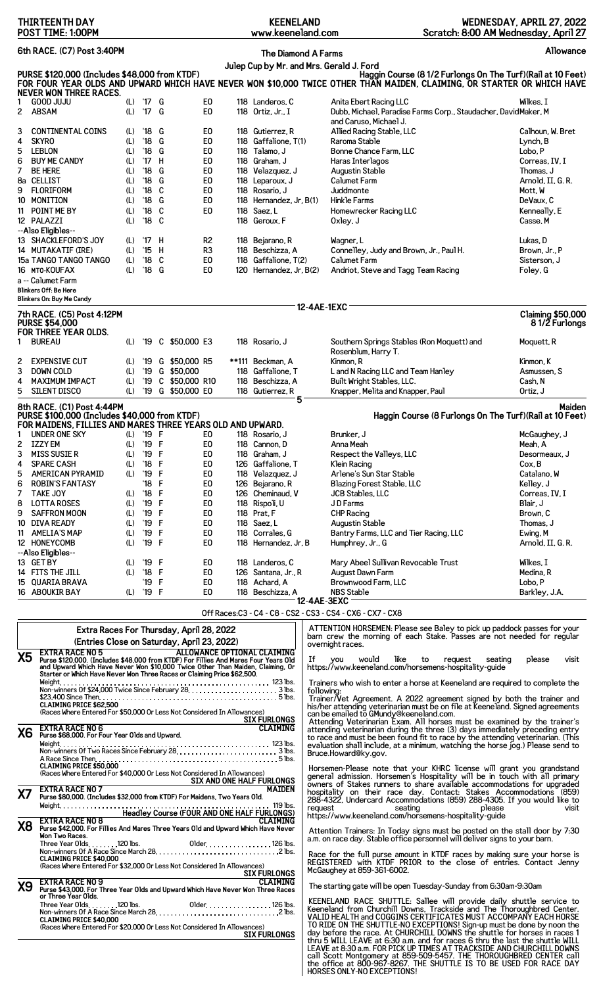| <b>THIRTEENTH DAY</b><br>POST TIME: 1:00PM                                                                                                                                                                                                                                                                                                                                                                                                                                                                                                                                                                                            | <b>KEENELAND</b><br>www.keeneland.com                                                                                                                                                                                                                                                                                                     | WEDNESDAY, APRIL 27, 2022<br>Scratch: 8:00 AM Wednesday, April 27                                                                                                                                                                                                                                                                                                                                                                                                                                                                                                                                                                                                            |  |  |  |  |  |
|---------------------------------------------------------------------------------------------------------------------------------------------------------------------------------------------------------------------------------------------------------------------------------------------------------------------------------------------------------------------------------------------------------------------------------------------------------------------------------------------------------------------------------------------------------------------------------------------------------------------------------------|-------------------------------------------------------------------------------------------------------------------------------------------------------------------------------------------------------------------------------------------------------------------------------------------------------------------------------------------|------------------------------------------------------------------------------------------------------------------------------------------------------------------------------------------------------------------------------------------------------------------------------------------------------------------------------------------------------------------------------------------------------------------------------------------------------------------------------------------------------------------------------------------------------------------------------------------------------------------------------------------------------------------------------|--|--|--|--|--|
| 6th RACE. (C7) Post 3:40PM                                                                                                                                                                                                                                                                                                                                                                                                                                                                                                                                                                                                            | <b>The Diamond A Farms</b>                                                                                                                                                                                                                                                                                                                | Allowance                                                                                                                                                                                                                                                                                                                                                                                                                                                                                                                                                                                                                                                                    |  |  |  |  |  |
| Julep Cup by Mr. and Mrs. Gerald J. Ford<br>PURSE \$120,000 (Includes \$48,000 from KTDF)<br>Haggin Course (8 1/2 Furlongs On The Turf) (Rail at 10 Feet)<br>FOR FOUR YEAR OLDS AND UPWARD WHICH HAVE NEVER WON \$10,000 TWICE OTHER THAN MAIDEN, CLAIMING, OR STARTER OR WHICH HAVE                                                                                                                                                                                                                                                                                                                                                  |                                                                                                                                                                                                                                                                                                                                           |                                                                                                                                                                                                                                                                                                                                                                                                                                                                                                                                                                                                                                                                              |  |  |  |  |  |
| <b>NEVER WON THREE RACES.</b><br>(L) '17 G<br><b>GOOD JUJU</b><br>E0<br>1<br>17<br>E <sub>0</sub><br>$\mathbf{2}^{\prime}$<br><b>ABSAM</b><br>(L)<br>G                                                                                                                                                                                                                                                                                                                                                                                                                                                                                | 118 Landeros, C<br>118 Ortiz, Jr., I                                                                                                                                                                                                                                                                                                      | Anita Ebert Racing LLC<br>Wilkes. I<br>Dubb, Michael, Paradise Farms Corp., Staudacher, DavidMaker, M<br>and Caruso, Michael J.                                                                                                                                                                                                                                                                                                                                                                                                                                                                                                                                              |  |  |  |  |  |
| <b>CONTINENTAL COINS</b><br>$^{\prime}18$<br>G<br>E0<br>3<br>(L)<br>$^{\prime}18$<br>E <sub>0</sub><br><b>SKYRO</b><br>(L)<br>G<br>4<br>E <sub>0</sub><br>LEBLON<br>(L)<br>$^{\prime}18$<br>G<br>5<br>E <sub>0</sub><br><b>BUY ME CANDY</b><br>$^{\prime}17$<br>Н<br>(L)<br>6<br>$^{\prime}18$<br>E <sub>0</sub><br>7<br><b>BE HERE</b><br>(L)<br>G<br>$^{\prime}18$<br>8a CELLIST<br>(L)<br>G<br>E <sub>0</sub><br>$^{\prime}18$<br>C<br>E <sub>0</sub><br>FLORIFORM<br>9<br>(L)<br>E <sub>0</sub><br>(L)<br>$^{\prime}18$<br>G<br>10 MONITION<br>$^{\prime}18$<br>11 POINT ME BY<br>C<br>E0<br>(L)<br>'18<br>C<br>12 PALAZZI<br>(L) | 118 Gutierrez, R<br>118 Gaffalione, T(1)<br>Raroma Stable<br>118 Talamo, J<br>118 Graham, J<br>Haras Interlagos<br>118 Velazquez, J<br>Augustin Stable<br><b>Calumet Farm</b><br>118 Leparoux, J<br>118 Rosario, J<br>Juddmonte<br>118 Hernandez, Jr, B(1)<br>Hinkle Farms<br>118 Saez, L<br>118 Geroux, F<br>Oxley, J                    | Allied Racing Stable, LLC<br>Calhoun, W. Bret<br>Lynch, B<br>Bonne Chance Farm, LLC<br>Lobo, P<br>Correas, IV, I<br>Thomas, J<br>Arnold, II, G. R.<br>Mott, W<br>DeVaux, C<br>Kenneally, E<br>Homewrecker Racing LLC<br>Casse. M                                                                                                                                                                                                                                                                                                                                                                                                                                             |  |  |  |  |  |
| --Also Eligibles--<br>13 SHACKLEFORD'S JOY<br>$^{\prime}$ 17<br>H<br>R <sub>2</sub><br>(L)<br>14 MUTAKATIF (IRE)<br>$^{\prime}15$<br>н<br>R <sub>3</sub><br>(L)<br>C<br>E <sub>0</sub><br>15a TANGO TANGO TANGO<br>(L)<br>$^{\prime}18$<br>$^{\prime}$ 18<br>E <sub>0</sub><br>16 MTO-KOUFAX<br>(L)<br>G<br>a -- Calumet Farm<br>Blinkers Off: Be Here<br>Blinkers On: Buy Me Candy                                                                                                                                                                                                                                                   | 118 Bejarano, R<br>Wagner, L<br>118 Beschizza, A<br>118 Gaffalione, T(2)<br><b>Calumet Farm</b><br>120 Hernandez, Jr, B(2)                                                                                                                                                                                                                | Lukas, D<br>Connelley, Judy and Brown, Jr., Paul H.<br>Brown, Jr., P<br>Sisterson, J<br>Foley, G<br>Andriot, Steve and Tagg Team Racing                                                                                                                                                                                                                                                                                                                                                                                                                                                                                                                                      |  |  |  |  |  |
| 7th RACE. (C5) Post 4:12PM                                                                                                                                                                                                                                                                                                                                                                                                                                                                                                                                                                                                            | <b>12-4AE-1EXC</b>                                                                                                                                                                                                                                                                                                                        | <b>Claiming \$50,000</b>                                                                                                                                                                                                                                                                                                                                                                                                                                                                                                                                                                                                                                                     |  |  |  |  |  |
| <b>PURSE \$54,000</b><br>FOR THREE YEAR OLDS.<br><b>BUREAU</b><br>'19 C \$50,000 E3<br>(L)<br>1.<br><b>EXPENSIVE CUT</b><br>G \$50,000 R5<br>'19<br>(L)<br>'19 G \$50,000<br>3<br><b>DOWN COLD</b><br>(L)<br><b>MAXIMUM IMPACT</b><br>(L)<br>'19<br>C \$50,000 R10<br>4<br><b>SILENT DISCO</b><br>'19 G \$50,000 E0<br>5<br>(L)                                                                                                                                                                                                                                                                                                       | 118 Rosario, J<br>Rosenblum, Harry T.<br>**111 Beckman, A<br>Kinmon, R<br>118 Gaffalione, T<br>118 Beschizza, A                                                                                                                                                                                                                           | 81/2 Furlongs<br>Southern Springs Stables (Ron Moquett) and<br>Moquett, R<br>Kinmon, K<br>Asmussen, S<br>L and N Racing LLC and Team Hanley<br>Built Wright Stables, LLC.<br>Cash, N                                                                                                                                                                                                                                                                                                                                                                                                                                                                                         |  |  |  |  |  |
| 8th RACE. (C1) Post 4:44PM<br>PURSE \$100,000 (Includes \$40,000 from KTDF)                                                                                                                                                                                                                                                                                                                                                                                                                                                                                                                                                           | 118 Gutierrez, R<br>5                                                                                                                                                                                                                                                                                                                     | Knapper, Melita and Knapper, Paul<br>Ortiz, J<br><b>Maiden</b><br>Haggin Course (8 Furlongs On The Turf) (Rail at 10 Feet)                                                                                                                                                                                                                                                                                                                                                                                                                                                                                                                                                   |  |  |  |  |  |
| FOR MAIDENS, FILLIES AND MARES THREE YEARS OLD AND UPWARD.<br><b>UNDER ONE SKY</b><br>$(L)$ '19 F<br>E0<br>1                                                                                                                                                                                                                                                                                                                                                                                                                                                                                                                          | 118 Rosario, J<br>Brunker, J                                                                                                                                                                                                                                                                                                              | McGaughey, J                                                                                                                                                                                                                                                                                                                                                                                                                                                                                                                                                                                                                                                                 |  |  |  |  |  |
| (L) '19 F<br>IZZY EM<br>E <sub>0</sub><br>2<br><b>MISS SUSIE R</b><br>(L) '19 F<br>E <sub>0</sub><br>'18 F<br><b>SPARE CASH</b><br>(L)<br>E <sub>0</sub><br>4<br>AMERICAN PYRAMID<br>$(L)$ '19 F<br>5<br>E0<br>'18 F<br>E <sub>0</sub><br>6<br><b>ROBIN'S FANTASY</b><br>(L) '18 F<br>E <sub>0</sub><br>7<br><b>TAKE JOY</b><br>(L) '19 F<br><b>LOTTA ROSES</b><br>E <sub>0</sub><br>8<br>(L) '19 F<br>E <sub>0</sub><br>SAFFRON MOON<br>9<br>(L) '19 F<br>E <sub>0</sub><br>10 DIVA READY<br>'19 F<br>E <sub>0</sub><br>11 AMELIA'S MAP<br>(L)<br>(L) '19 F<br>E <sub>0</sub><br>12 HONEYCOMB                                        | 118 Cannon, D<br>Anna Meah<br>118 Graham, J<br>126 Gaffalione, T<br>Klein Racing<br>118 Velazquez, J<br>126 Bejarano, R<br>126 Cheminaud, V<br><b>JCB Stables, LLC</b><br>118 Rispoli, U<br>JD Farms<br>118 Prat, F<br><b>CHP Racing</b><br>Augustin Stable<br>118 Saez, L<br>118 Corrales. G<br>118 Hernandez, Jr, B<br>Humphrey, Jr., G | Meah, A<br>Respect the Valleys, LLC<br>Desormeaux, J<br>Cox, B<br>Arlene's Sun Star Stable<br>Catalano, W<br>Kelley, J<br>Blazing Forest Stable, LLC<br>Correas, IV, I<br>Blair, J<br>Brown, C<br>Thomas, J<br>Bantry Farms, LLC and Tier Racing, LLC<br>Ewing, M<br>Arnold, II, G. R.                                                                                                                                                                                                                                                                                                                                                                                       |  |  |  |  |  |
| --Also Eligibles--<br>13 GET BY<br>(L)<br>'19 F<br>E0<br>(L) '18 F<br>14 FITS THE JILL<br>E <sub>0</sub><br>'19 F<br>E <sub>0</sub><br>15 QUARIA BRAVA<br>(L) '19 F<br>E <sub>0</sub><br>16 ABOUKIR BAY                                                                                                                                                                                                                                                                                                                                                                                                                               | 118 Landeros, C<br>126 Santana, Jr., R<br>August Dawn Farm<br>118 Achard, A<br>118 Beschizza, A<br>NBS Stable                                                                                                                                                                                                                             | Mary Abeel Sullivan Revocable Trust<br>Wilkes, I<br>Medina, R<br>Brownwood Farm, LLC<br>Lobo, P<br>Barkley, J.A.                                                                                                                                                                                                                                                                                                                                                                                                                                                                                                                                                             |  |  |  |  |  |
|                                                                                                                                                                                                                                                                                                                                                                                                                                                                                                                                                                                                                                       | 12-4AE-3EXC<br>Off Races: C3 - C4 - C8 - CS2 - CS3 - CS4 - CX6 - CX7 - CX8                                                                                                                                                                                                                                                                |                                                                                                                                                                                                                                                                                                                                                                                                                                                                                                                                                                                                                                                                              |  |  |  |  |  |
| Extra Races For Thursday, April 28, 2022                                                                                                                                                                                                                                                                                                                                                                                                                                                                                                                                                                                              |                                                                                                                                                                                                                                                                                                                                           | ATTENTION HORSEMEN: Please see Baley to pick up paddock passes for your<br>barn crew the morning of each Stake. Passes are not needed for regular                                                                                                                                                                                                                                                                                                                                                                                                                                                                                                                            |  |  |  |  |  |
| (Entries Close on Saturday, April 23, 2022)<br><b>EXTRA RACE NO 5</b><br>X5<br>EXTING \$120,000. (Includes \$48,000 from KTDF) For Fillies And Mares Four Years Old<br>and Upward Which Have Never Won \$10,000 Twice Other Than Maiden, Claiming, Or<br>Starter or Which Have Never Won Three Races or Claiming Price<br>\$23,400 Since Then<br><b>CLAIMING PRICE \$62,500</b>                                                                                                                                                                                                                                                       | overnight races.<br>ALLOWANCE OPTIONAL CLAIMING<br>If<br><b>VOU</b><br>following:                                                                                                                                                                                                                                                         | would<br>like<br>to<br>please<br>visit<br>request<br>seating<br>https://www.keeneland.com/horsemens-hospitality-guide<br>Trainers who wish to enter a horse at Keeneland are required to complete the<br>Trainer/Vet Agreement. A 2022 agreement signed by both the trainer and<br>his/her attending veterinarian must be on file at Keeneland. Signed agreements                                                                                                                                                                                                                                                                                                            |  |  |  |  |  |
| (Races Where Entered For \$50,000 Or Less Not Considered In Allowances)<br><u>SIX FURLONGS</u><br><b>EXTRA RACE NO 6</b><br><b>X6</b><br>Purse \$68,000. For Four Year Olds and Upward.<br><b>CLAIMING PRICE \$50,000</b>                                                                                                                                                                                                                                                                                                                                                                                                             | <b>CLAIMING</b><br>Bruce.Howard@ky.gov.                                                                                                                                                                                                                                                                                                   | can be emailed to GMundy@keeneland.com.<br>Attending Veterinarian Exam. All horses must be examined by the trainer's<br>attending veterinarian during the three (3) days immediately preceding entry<br>to race and must be been found fit to race by the attending veterinarian. (This evaluation shall include, at a minimum, watching the horse jog.) Please send to                                                                                                                                                                                                                                                                                                      |  |  |  |  |  |
| (Races Where Entered For \$40,000 Or Less Not Considered In Allowances)<br>SIX AND ONE HALF FURLONGS<br><b>EXTRA RACE NO 7</b><br>X7<br>Purse \$80,000. (Includes \$32,000 from KTDF) For Maidens, Two Years Old.<br>Weight.<br><b>Headley Course (FOUR AND ONE HALF FURLONGS)</b>                                                                                                                                                                                                                                                                                                                                                    | <b>MAIDEN</b><br>. 119 lbs.<br>request                                                                                                                                                                                                                                                                                                    | Horsemen-Please note that your KHRC license will grant you grandstand general admission. Horsemen's Hospitality will be in touch with all primary owners of Stakes runners to share available accommodations for upgraded<br>hospitality on their race day. Contact: Stakes Accommodations (859)<br>288-4322, Undercard Accommodations (859) 288-4305. If you would like to<br>seating<br>please<br>visit<br>https://www.keeneland.com/horsemens-hospitality-guide                                                                                                                                                                                                           |  |  |  |  |  |
| <b>EXTRA RACE NO 8</b><br>X <sub>8</sub><br>Purse \$42,000. For Fillies And Mares Three Years Old and Upward Which Have Never<br>Won Two Races.<br><b>CLAIMING PRICE \$40,000</b>                                                                                                                                                                                                                                                                                                                                                                                                                                                     | <b>CLAIMING</b>                                                                                                                                                                                                                                                                                                                           | Attention Trainers: In Today signs must be posted on the stall door by 7:30 a.m. on race day. Stable office personnel will deliver signs to your barn.<br>Race for the full purse amount in KTDF races by making sure your horse is REGISTERED with KTDF PRIOR to the close of entries. Contact Jenny                                                                                                                                                                                                                                                                                                                                                                        |  |  |  |  |  |
| (Races Where Entered For \$32,000 Or Less Not Considered In Allowances)<br><u>SIX FURLONGS</u><br><b>EXTRA RACE NO 9</b><br>X9                                                                                                                                                                                                                                                                                                                                                                                                                                                                                                        | McGaughey at 859-361-6002.<br><b>CLAIMING</b>                                                                                                                                                                                                                                                                                             | The starting gate will be open Tuesday-Sunday from 6:30am-9:30am                                                                                                                                                                                                                                                                                                                                                                                                                                                                                                                                                                                                             |  |  |  |  |  |
| Purse \$43,000. For Three Year Olds and Upward Which Have Never Won Three Races<br>or Three Year Olds.<br>Three Year Olds. 120 lbs.<br><b>CLAIMING PRICE \$40,000</b><br>(Races Where Entered For \$20,000 Or Less Not Considered In Allowances)                                                                                                                                                                                                                                                                                                                                                                                      | Older. 126 lbs.<br><b>SIX FURLONGS</b><br>HORSES ONLY-NO EXCEPTIONS!                                                                                                                                                                                                                                                                      | KEENELAND RACE SHUTTLE: Sallee will provide daily shuttle service to<br>Keeneland from Churchill Downs, Trackside and The Thoroughbred Center.<br>VALID HEALTH and COGGINS CERTIFICATES MUST ACCOMPANY EACH HORSE<br>TO RIDE ON THE SHUTTLE-NO EXCEPTIONS! Sign-up must be done by noon the<br>day before the race. At CHURCHILL DOWNS the shuttle for horses in races 1<br>thru 5 WILL LEAVE at 6:30 a.m. and for races 6 thru the last the shuttle WILL<br>LEAVE at 8:30 a.m. FOR PICK UP TIMES AT TRACKSIDE AND CHURCHILL DOWNS call Scott Montgomery at 859-509-5457. THE THOROUGHBRED CENTER call<br>the office at 800-967-8267. THE SHUTTLE IS TO BE USED FOR RACE DAY |  |  |  |  |  |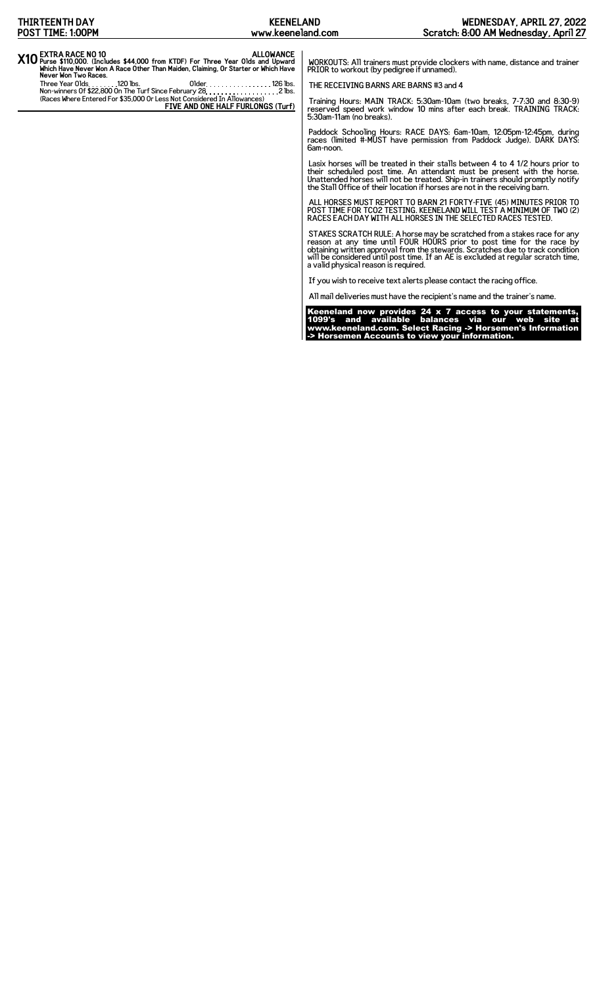| THIRTEENTH DAY                                                                                                                                                                                                                                                                                                                                        | <b>KEENELAND</b>                                      | WEDNESDAY, APRIL 27, 2022                                                                                                                                                                                                                                                                                                                                                                                                                                                                                                                                                                                                                                                                                                                                                                                                                                                                                                                                                                                                                                                                                                                                                                                                                                                                                                                                                                                                                                                                                                                                                                                                                                                                                                                                                       |
|-------------------------------------------------------------------------------------------------------------------------------------------------------------------------------------------------------------------------------------------------------------------------------------------------------------------------------------------------------|-------------------------------------------------------|---------------------------------------------------------------------------------------------------------------------------------------------------------------------------------------------------------------------------------------------------------------------------------------------------------------------------------------------------------------------------------------------------------------------------------------------------------------------------------------------------------------------------------------------------------------------------------------------------------------------------------------------------------------------------------------------------------------------------------------------------------------------------------------------------------------------------------------------------------------------------------------------------------------------------------------------------------------------------------------------------------------------------------------------------------------------------------------------------------------------------------------------------------------------------------------------------------------------------------------------------------------------------------------------------------------------------------------------------------------------------------------------------------------------------------------------------------------------------------------------------------------------------------------------------------------------------------------------------------------------------------------------------------------------------------------------------------------------------------------------------------------------------------|
| POST TIME: 1:00PM                                                                                                                                                                                                                                                                                                                                     | www.keeneland.com                                     | Scratch: 8:00 AM Wednesday, April 27                                                                                                                                                                                                                                                                                                                                                                                                                                                                                                                                                                                                                                                                                                                                                                                                                                                                                                                                                                                                                                                                                                                                                                                                                                                                                                                                                                                                                                                                                                                                                                                                                                                                                                                                            |
| X10 EXTRA RACE NO 10<br>Three Year Olds and Upward Purse \$110,000. (Includes \$44,000 from KTDF) For Three Year Olds and Upward<br>Which Have Never Won A Race Other Than Maiden, Claiming, Or Starter or Which Have<br>Never Won Two Races.<br>Three Year Olds. 120 lbs.<br>(Races Where Entered For \$35,000 Or Less Not Considered In Allowances) | 01 der. 126 lbs.<br>FIVE AND ONE HALF FURLONGS (Turf) | WORKOUTS: All trainers must provide clockers with name, distance and trainer<br>PRIOR to workout (by pedigree if unnamed).<br>THE RECEIVING BARNS ARE BARNS #3 and 4<br>Training Hours: MAIN TRACK: 5:30am-10am (two breaks, 7-7:30 and 8:30-9)<br>reserved speed work window 10 mins after each break. TRAINING TRACK:<br>5:30am-11am (no breaks).<br>Paddock Schooling Hours: RACE DAYS: 6am-10am, 12:05pm-12:45pm, during<br>races (limited #-MUST have permission from Paddock Judge). DARK DAYS:<br>6am-noon.<br>Lasix horses will be treated in their stalls between 4 to 4 1/2 hours prior to<br>their scheduled post time. An attendant must be present with the horse.<br>Unattended horses will not be treated. Ship-in trainers should promptly notify<br>the Stall Office of their location if horses are not in the receiving barn.<br>ALL HORSES MUST REPORT TO BARN 21 FORTY-FIVE (45) MINUTES PRIOR TO<br>POST TIME FOR TCO2 TESTING. KEENELAND WILL TEST A MINIMUM OF TWO (2)<br>RACES EACH DAY WITH ALL HORSES IN THE SELECTED RACES TESTED.<br>STAKES SCRATCH RULE: A horse may be scratched from a stakes race for any<br>reason at any time until FOUR HOURS prior to post time for the race by<br>obtaining written approval from the stewards. Scratches due to track condition<br>will be considered until post time. If an AE is excluded at regular scratch time,<br>a valid physical reason is required.<br>If you wish to receive text alerts please contact the racing office.<br>All mail deliveries must have the recipient's name and the trainer's name.<br>Keeneland now provides $24 \times 7$ access to your statements,<br>1099's and available balances via our web site at<br>www.keeneland.com. Select Racing -> Horsemen's Information |

-> Horsemen Accounts to view your information.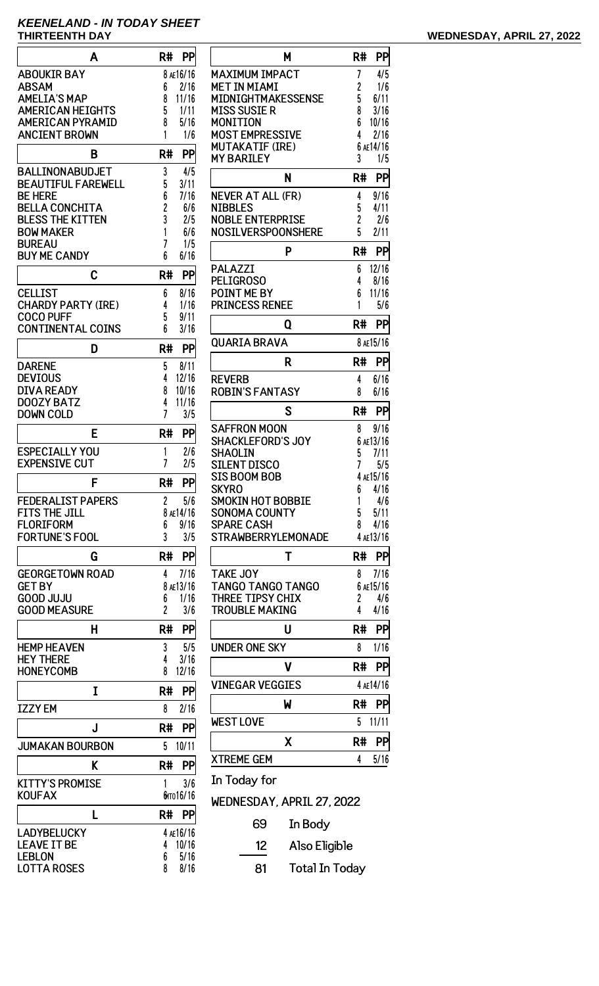## **KEENELAND - IN TODAY SHEET THIRTEENTH DAY WEDNESDAY, APRIL 27, 2022**

| A                                             | R#<br>PP                   |
|-----------------------------------------------|----------------------------|
| <b>ABOUKIR BAY</b>                            | 8 AE16/16                  |
| <b>ABSAM</b>                                  | 6<br>2/16                  |
| <b>AMELIA'S MAP</b>                           | 8<br>11/16                 |
| <b>AMERICAN HEIGHTS</b>                       | 5<br>1/11                  |
| <b>AMERICAN PYRAMID</b>                       | 8<br>5/16                  |
| <b>ANCIENT BROWN</b>                          | 1<br>1/6                   |
| B                                             | R#<br>PP                   |
| <b>BALLINONABUDJET</b>                        | 3<br>4/5                   |
| <b>BEAUTIFUL FAREWELL</b>                     | 5<br>3/11                  |
| <b>BE HERE</b><br><b>BELLA CONCHITA</b>       | 6<br>7/16<br>6/6           |
| <b>BLESS THE KITTEN</b>                       | $\overline{c}$<br>3<br>2/5 |
| <b>BOW MAKER</b>                              | 1<br>6/6                   |
| <b>BUREAU</b>                                 | 7<br>1/5                   |
| <b>BUY ME CANDY</b>                           | 6<br>6/16                  |
| C                                             | PP<br>R#                   |
| <b>CELLIST</b>                                | 8/16<br>6                  |
| <b>CHARDY PARTY (IRE)</b>                     | 1/16<br>4                  |
| <b>COCO PUFF</b>                              | 5<br>9/11                  |
| <b>CONTINENTAL COINS</b>                      | 6<br>3/16                  |
| D                                             | PP<br>R#                   |
| <b>DARENE</b>                                 | 5<br>8/11                  |
| <b>DEVIOUS</b>                                | 4<br>12/16                 |
| <b>DIVA READY</b>                             | 8<br>10/16                 |
| <b>DOOZY BATZ</b><br><b>DOWN COLD</b>         | 4<br>11/16<br>7<br>3/5     |
|                                               |                            |
| E                                             | R#<br>PP                   |
| <b>ESPECIALLY YOU</b><br><b>EXPENSIVE CUT</b> | 2/6<br>1<br>7<br>2/5       |
| c                                             | R#<br>PP                   |
| <b>FEDERALIST PAPERS</b>                      | 2<br>5/6                   |
| <b>FITS THE JILL</b>                          | 8 AE14/16                  |
| <b>FLORIFORM</b>                              | 9/16<br>6                  |
| <b>FORTUNE'S FOOL</b>                         | 3<br>3/5                   |
| G                                             | R#<br>PP                   |
| <b>GEORGETOWN ROAD</b>                        | 4<br>7/16                  |
| <b>GET BY</b>                                 | 8 AE13/16                  |
| <b>GOOD JUJU</b>                              | 1/16<br>6                  |
| <b>GOOD MEASURE</b>                           | $\overline{c}$<br>3/6      |
| н                                             | R#<br>PP                   |
| <b>HEMP HEAVEN</b>                            | 3<br>5/5                   |
| <b>HEY THERE</b><br><b>HONEYCOMB</b>          | 4<br>3/16<br>8<br>12/16    |
| I                                             | R#<br>PP                   |
|                                               |                            |
| <b>IZZY EM</b>                                | 8<br>2/16                  |
| J                                             | R#<br>PP                   |
| <b>JUMAKAN BOURBON</b>                        | 5<br>10/11                 |
| K                                             | PP<br>R#                   |
| <b>KITTY'S PROMISE</b>                        | 3/6<br>1                   |
| <b>KOUFAX</b>                                 | бито 16/16                 |
| L                                             | R#<br>PP                   |
| LADYBELUCKY<br><b>LEAVE IT BE</b>             | 4 AE16/16                  |
| <b>LEBLON</b>                                 | 10/16<br>4<br>5/16<br>6    |
|                                               |                            |

LOTTA ROSES 

| Μ                                             | R#     | <b>PP</b>         |
|-----------------------------------------------|--------|-------------------|
| <b>MAXIMUM IMPACT</b>                         | 7      | 4/5               |
| MET IN MIAMI                                  | 2      | 1/6               |
| MIDNIGHTMAKESSENSE                            | 5      | 6/11              |
| <b>MISS SUSIE R</b><br>MONITION               | 8<br>6 | 3/16<br>10/16     |
| <b>MOST EMPRESSIVE</b>                        | 4      | 2/16              |
| <b>MUTAKATIF (IRE)</b>                        |        | 6 AE14/16         |
| <b>MY BARILEY</b>                             | 3      | 1/5               |
| N                                             | R#     | PP                |
| NEVER AT ALL (FR)                             | 4      | 9/16              |
| NIBBLES                                       | 5      | 4/11              |
| <b>NOBLE ENTERPRISE</b><br>NOSILVERSPOONSHERE | 2<br>5 | 2/6<br>2/11       |
| P                                             | R#     | PP                |
| <b>PALAZZI</b>                                | 6      | 12/16             |
| <b>PELIGROSO</b>                              | 4      | 8/16              |
| <b>POINT ME BY</b>                            | 6      | 11/16             |
| <b>PRINCESS RENEE</b>                         | 1      | 5/6               |
| Q                                             | R#     | PP                |
| QUARIA BRAVA                                  |        | 8 AE15/16         |
| R                                             | R#     | PP                |
| <b>REVERB</b>                                 | 4      | 6/16              |
| <b>ROBIN'S FANTASY</b>                        | 8      | 6/16              |
| S                                             | R#     | PP                |
| SAFFRON MOON                                  | 8      | 9/16              |
| <b>SHACKLEFORD'S JOY</b><br>SHAOLIN           | 5      | 6 AE13/16<br>7/11 |
| SILENT DISCO                                  | 7      | 5/5               |
| <b>SIS BOOM BOB</b>                           |        | 4 AE15/16         |
| <b>SKYRO</b>                                  |        | $6$ $4/16$        |
| <b>SMOKIN HOT BOBBIE</b>                      | 1      | 4/6               |
| <b>SONOMA COUNTY</b><br><b>SPARE CASH</b>     | 5<br>8 | 5/11<br>4/16      |
| <b>STRAWBERRYLEMONADE</b>                     |        | 4 AE13/16         |
| T                                             | R#     | PP                |
| <b>TAKE JOY</b>                               | 8      | 7/16              |
| <b>TANGO TANGO TANGO</b>                      |        | 6 AE15/16         |
| THREE TIPSY CHIX                              | 2      | 4/6               |
| <b>TROUBLE MAKING</b>                         | 4      | 4/16              |
| U                                             | R#     | PP                |
| UNDER ONE SKY                                 | 8      | 1/16              |
| ۷                                             | R#     | PP                |
| <b>VINEGAR VEGGIES</b>                        |        | 4 AE14/16         |
| W                                             | R#     | PP                |
| <b>WEST LOVE</b>                              | 5      | 11/11             |
| Χ                                             | R#     | PP                |
| <b>XTREME GEM</b>                             | 4      | 5/16              |
| In Today for                                  |        |                   |
| WEDNESDAY, APRIL 27, 2022                     |        |                   |
| 69<br>In Body                                 |        |                   |

12 Also Eligible

81 Total In Today